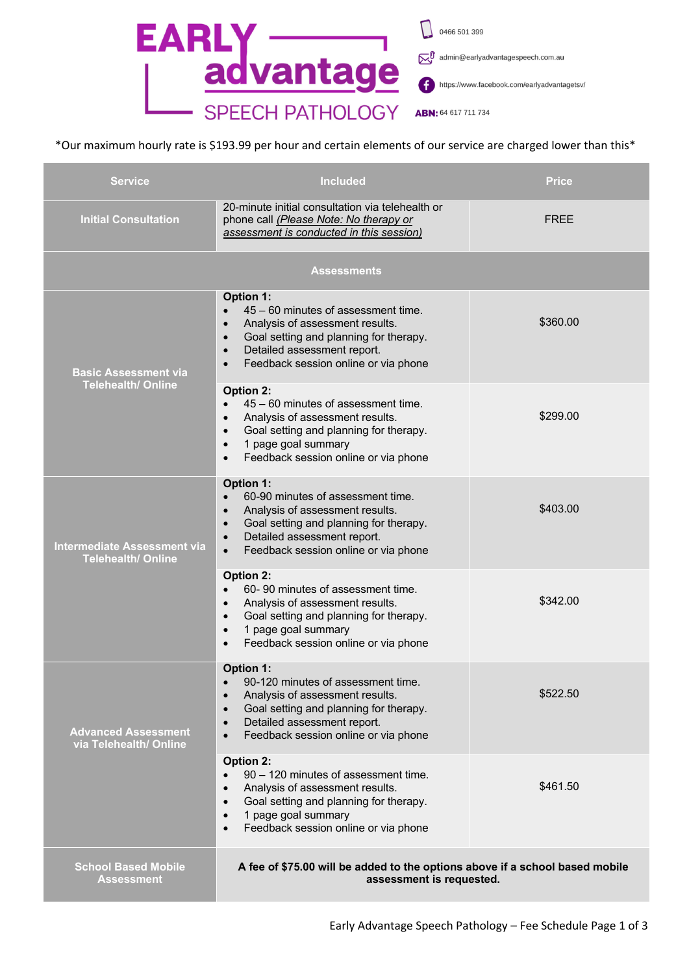

## \*Our maximum hourly rate is \$193.99 per hour and certain elements of our service are charged lower than this\*

| <b>Service</b>                                                  | <b>Included</b>                                                                                                                                                                                                                                                              | <b>Price</b> |  |  |  |
|-----------------------------------------------------------------|------------------------------------------------------------------------------------------------------------------------------------------------------------------------------------------------------------------------------------------------------------------------------|--------------|--|--|--|
| <b>Initial Consultation</b>                                     | 20-minute initial consultation via telehealth or<br>phone call (Please Note: No therapy or<br>assessment is conducted in this session)                                                                                                                                       | <b>FREE</b>  |  |  |  |
| Assessments                                                     |                                                                                                                                                                                                                                                                              |              |  |  |  |
| <b>Basic Assessment via</b><br><b>Telehealth/ Online</b>        | <b>Option 1:</b><br>45 – 60 minutes of assessment time.<br>$\bullet$<br>Analysis of assessment results.<br>$\bullet$<br>Goal setting and planning for therapy.<br>$\bullet$<br>Detailed assessment report.<br>$\bullet$<br>Feedback session online or via phone<br>$\bullet$ | \$360.00     |  |  |  |
|                                                                 | <b>Option 2:</b><br>45 - 60 minutes of assessment time.<br>$\bullet$<br>Analysis of assessment results.<br>$\bullet$<br>Goal setting and planning for therapy.<br>$\bullet$<br>1 page goal summary<br>$\bullet$<br>Feedback session online or via phone<br>$\bullet$         | \$299.00     |  |  |  |
| <b>Intermediate Assessment via</b><br><b>Telehealth/ Online</b> | <b>Option 1:</b><br>60-90 minutes of assessment time.<br>$\bullet$<br>Analysis of assessment results.<br>$\bullet$<br>Goal setting and planning for therapy.<br>$\bullet$<br>Detailed assessment report.<br>$\bullet$<br>Feedback session online or via phone<br>$\bullet$   | \$403.00     |  |  |  |
|                                                                 | <b>Option 2:</b><br>60-90 minutes of assessment time.<br>Analysis of assessment results.<br>$\bullet$<br>Goal setting and planning for therapy.<br>$\bullet$<br>1 page goal summary<br>$\bullet$<br>Feedback session online or via phone<br>$\bullet$                        | \$342.00     |  |  |  |
| <b>Advanced Assessment</b><br>via Telehealth/ Online            | <b>Option 1:</b><br>90-120 minutes of assessment time.<br>$\bullet$<br>Analysis of assessment results.<br>$\bullet$<br>Goal setting and planning for therapy.<br>$\bullet$<br>Detailed assessment report.<br>$\bullet$<br>Feedback session online or via phone<br>$\bullet$  | \$522.50     |  |  |  |
|                                                                 | Option 2:<br>90 - 120 minutes of assessment time.<br>$\bullet$<br>Analysis of assessment results.<br>$\bullet$<br>Goal setting and planning for therapy.<br>$\bullet$<br>1 page goal summary<br>$\bullet$<br>Feedback session online or via phone<br>$\bullet$               | \$461.50     |  |  |  |
| <b>School Based Mobile</b><br><b>Assessment</b>                 | A fee of \$75.00 will be added to the options above if a school based mobile<br>assessment is requested.                                                                                                                                                                     |              |  |  |  |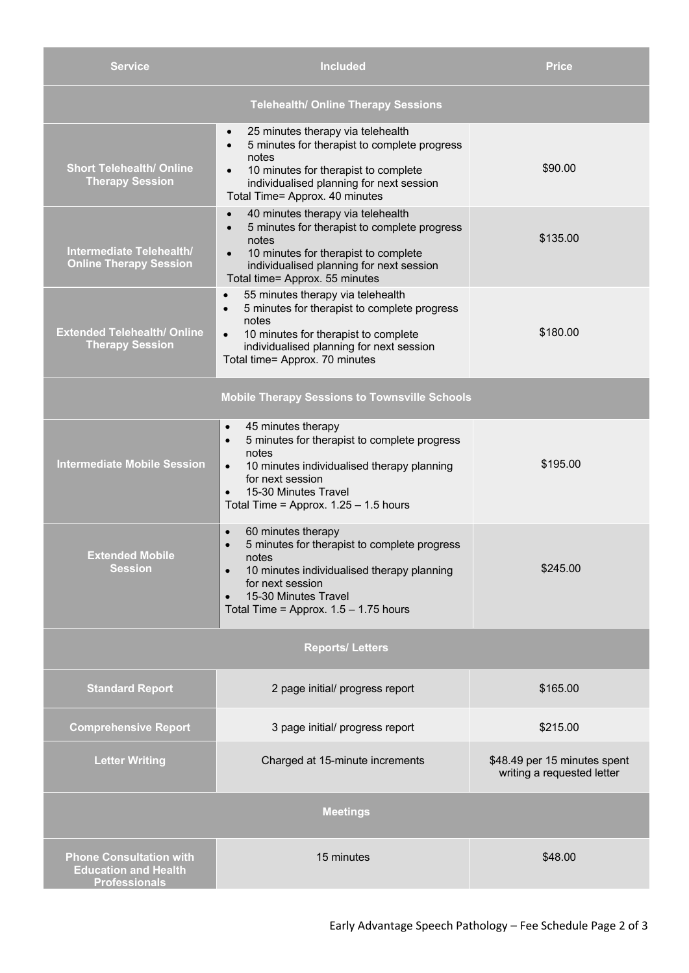| <b>Service</b>                                                                        | <b>Included</b>                                                                                                                                                                                                                                                      | Price                                                      |  |  |
|---------------------------------------------------------------------------------------|----------------------------------------------------------------------------------------------------------------------------------------------------------------------------------------------------------------------------------------------------------------------|------------------------------------------------------------|--|--|
| <b>Telehealth/ Online Therapy Sessions</b>                                            |                                                                                                                                                                                                                                                                      |                                                            |  |  |
| <b>Short Telehealth/ Online</b><br><b>Therapy Session</b>                             | 25 minutes therapy via telehealth<br>$\bullet$<br>5 minutes for therapist to complete progress<br>$\bullet$<br>notes<br>10 minutes for therapist to complete<br>individualised planning for next session<br>Total Time= Approx. 40 minutes                           | \$90.00                                                    |  |  |
| Intermediate Telehealth/<br><b>Online Therapy Session</b>                             | 40 minutes therapy via telehealth<br>$\bullet$<br>5 minutes for therapist to complete progress<br>$\bullet$<br>notes<br>10 minutes for therapist to complete<br>individualised planning for next session<br>Total time= Approx. 55 minutes                           | \$135.00                                                   |  |  |
| <b>Extended Telehealth/ Online</b><br><b>Therapy Session</b>                          | 55 minutes therapy via telehealth<br>$\bullet$<br>5 minutes for therapist to complete progress<br>$\bullet$<br>notes<br>10 minutes for therapist to complete<br>$\bullet$<br>individualised planning for next session<br>Total time= Approx. 70 minutes              | \$180.00                                                   |  |  |
|                                                                                       | <b>Mobile Therapy Sessions to Townsville Schools</b>                                                                                                                                                                                                                 |                                                            |  |  |
| <b>Intermediate Mobile Session</b>                                                    | 45 minutes therapy<br>$\bullet$<br>5 minutes for therapist to complete progress<br>$\bullet$<br>notes<br>10 minutes individualised therapy planning<br>$\bullet$<br>for next session<br>15-30 Minutes Travel<br>$\bullet$<br>Total Time = Approx. $1.25 - 1.5$ hours | \$195.00                                                   |  |  |
| <b>Extended Mobile</b><br><b>Session</b>                                              | 60 minutes therapy<br>$\bullet$<br>5 minutes for therapist to complete progress<br>notes<br>10 minutes individualised therapy planning<br>for next session<br>15-30 Minutes Travel<br>$\bullet$<br>Total Time = Approx. $1.5 - 1.75$ hours                           | \$245.00                                                   |  |  |
| <b>Reports/Letters</b>                                                                |                                                                                                                                                                                                                                                                      |                                                            |  |  |
| <b>Standard Report</b>                                                                | 2 page initial/ progress report                                                                                                                                                                                                                                      | \$165.00                                                   |  |  |
| <b>Comprehensive Report</b>                                                           | 3 page initial/ progress report                                                                                                                                                                                                                                      | \$215.00                                                   |  |  |
| <b>Letter Writing</b>                                                                 | Charged at 15-minute increments                                                                                                                                                                                                                                      | \$48.49 per 15 minutes spent<br>writing a requested letter |  |  |
| <b>Meetings</b>                                                                       |                                                                                                                                                                                                                                                                      |                                                            |  |  |
| <b>Phone Consultation with</b><br><b>Education and Health</b><br><b>Professionals</b> | 15 minutes                                                                                                                                                                                                                                                           | \$48.00                                                    |  |  |